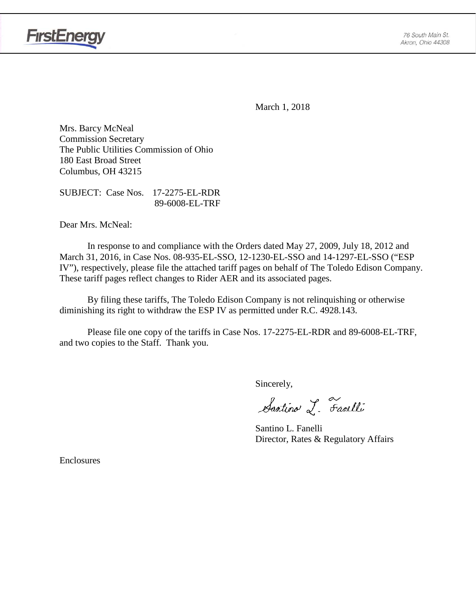



March 1, 2018

Mrs. Barcy McNeal Commission Secretary The Public Utilities Commission of Ohio 180 East Broad Street Columbus, OH 43215

SUBJECT: Case Nos. 17-2275-EL-RDR 89-6008-EL-TRF

Dear Mrs. McNeal:

In response to and compliance with the Orders dated May 27, 2009, July 18, 2012 and March 31, 2016, in Case Nos. 08-935-EL-SSO, 12-1230-EL-SSO and 14-1297-EL-SSO ("ESP IV"), respectively, please file the attached tariff pages on behalf of The Toledo Edison Company. These tariff pages reflect changes to Rider AER and its associated pages.

By filing these tariffs, The Toledo Edison Company is not relinquishing or otherwise diminishing its right to withdraw the ESP IV as permitted under R.C. 4928.143.

Please file one copy of the tariffs in Case Nos. 17-2275-EL-RDR and 89-6008-EL-TRF, and two copies to the Staff. Thank you.

Sincerely,

Santino L. Farelli

Santino L. Fanelli Director, Rates & Regulatory Affairs

Enclosures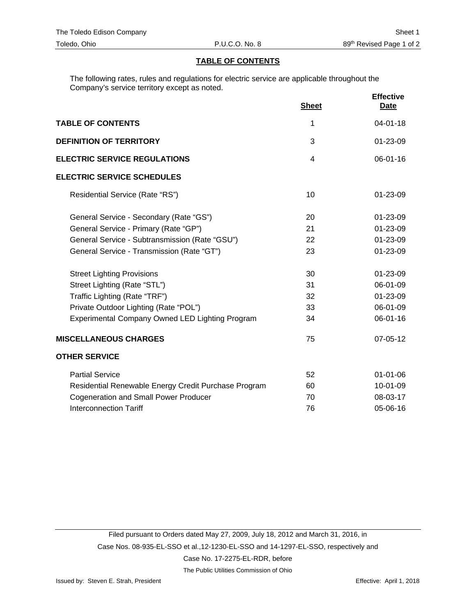## **TABLE OF CONTENTS**

The following rates, rules and regulations for electric service are applicable throughout the Company's service territory except as noted.

|                                                      | <b>Sheet</b> | <b>Effective</b><br><b>Date</b> |
|------------------------------------------------------|--------------|---------------------------------|
| <b>TABLE OF CONTENTS</b>                             | 1            | $04 - 01 - 18$                  |
| <b>DEFINITION OF TERRITORY</b>                       | 3            | 01-23-09                        |
| <b>ELECTRIC SERVICE REGULATIONS</b>                  | 4            | $06 - 01 - 16$                  |
| <b>ELECTRIC SERVICE SCHEDULES</b>                    |              |                                 |
| Residential Service (Rate "RS")                      | 10           | 01-23-09                        |
| General Service - Secondary (Rate "GS")              | 20           | 01-23-09                        |
| General Service - Primary (Rate "GP")                | 21           | 01-23-09                        |
| General Service - Subtransmission (Rate "GSU")       | 22           | 01-23-09                        |
| General Service - Transmission (Rate "GT")           | 23           | 01-23-09                        |
| <b>Street Lighting Provisions</b>                    | 30           | 01-23-09                        |
| Street Lighting (Rate "STL")                         | 31           | 06-01-09                        |
| Traffic Lighting (Rate "TRF")                        | 32           | 01-23-09                        |
| Private Outdoor Lighting (Rate "POL")                | 33           | 06-01-09                        |
| Experimental Company Owned LED Lighting Program      | 34           | 06-01-16                        |
| <b>MISCELLANEOUS CHARGES</b>                         | 75           | 07-05-12                        |
| <b>OTHER SERVICE</b>                                 |              |                                 |
| <b>Partial Service</b>                               | 52           | $01 - 01 - 06$                  |
| Residential Renewable Energy Credit Purchase Program | 60           | 10-01-09                        |
| <b>Cogeneration and Small Power Producer</b>         | 70           | 08-03-17                        |
| <b>Interconnection Tariff</b>                        | 76           | 05-06-16                        |

The Public Utilities Commission of Ohio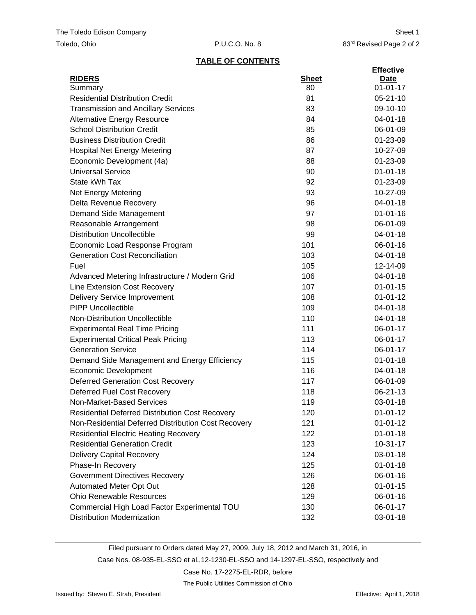## **TABLE OF CONTENTS**

|                                                     |              | <b>Effective</b> |
|-----------------------------------------------------|--------------|------------------|
| <b>RIDERS</b>                                       | <b>Sheet</b> | Date             |
| Summary                                             | 80           | $01 - 01 - 17$   |
| <b>Residential Distribution Credit</b>              | 81           | $05 - 21 - 10$   |
| <b>Transmission and Ancillary Services</b>          | 83           | 09-10-10         |
| <b>Alternative Energy Resource</b>                  | 84           | 04-01-18         |
| <b>School Distribution Credit</b>                   | 85           | 06-01-09         |
| <b>Business Distribution Credit</b>                 | 86           | 01-23-09         |
| <b>Hospital Net Energy Metering</b>                 | 87           | 10-27-09         |
| Economic Development (4a)                           | 88           | 01-23-09         |
| <b>Universal Service</b>                            | 90           | $01 - 01 - 18$   |
| State kWh Tax                                       | 92           | 01-23-09         |
| Net Energy Metering                                 | 93           | 10-27-09         |
| Delta Revenue Recovery                              | 96           | 04-01-18         |
| Demand Side Management                              | 97           | $01 - 01 - 16$   |
| Reasonable Arrangement                              | 98           | 06-01-09         |
| <b>Distribution Uncollectible</b>                   | 99           | 04-01-18         |
| Economic Load Response Program                      | 101          | 06-01-16         |
| <b>Generation Cost Reconciliation</b>               | 103          | 04-01-18         |
| Fuel                                                | 105          | 12-14-09         |
| Advanced Metering Infrastructure / Modern Grid      | 106          | 04-01-18         |
| Line Extension Cost Recovery                        | 107          | $01 - 01 - 15$   |
| <b>Delivery Service Improvement</b>                 | 108          | $01 - 01 - 12$   |
| <b>PIPP Uncollectible</b>                           | 109          | 04-01-18         |
| Non-Distribution Uncollectible                      | 110          | 04-01-18         |
| <b>Experimental Real Time Pricing</b>               | 111          | 06-01-17         |
| <b>Experimental Critical Peak Pricing</b>           | 113          | 06-01-17         |
| <b>Generation Service</b>                           | 114          | 06-01-17         |
| Demand Side Management and Energy Efficiency        | 115          | $01 - 01 - 18$   |
| <b>Economic Development</b>                         | 116          | 04-01-18         |
| <b>Deferred Generation Cost Recovery</b>            | 117          | 06-01-09         |
| <b>Deferred Fuel Cost Recovery</b>                  | 118          | 06-21-13         |
| Non-Market-Based Services                           | 119          | 03-01-18         |
| Residential Deferred Distribution Cost Recovery     | 120          | $01 - 01 - 12$   |
| Non-Residential Deferred Distribution Cost Recovery | 121          | $01 - 01 - 12$   |
| <b>Residential Electric Heating Recovery</b>        | 122          | $01 - 01 - 18$   |
| <b>Residential Generation Credit</b>                | 123          | $10-31-17$       |
| <b>Delivery Capital Recovery</b>                    | 124          | $03 - 01 - 18$   |
| Phase-In Recovery                                   | 125          | $01 - 01 - 18$   |
| <b>Government Directives Recovery</b>               | 126          | 06-01-16         |
| Automated Meter Opt Out                             | 128          | $01 - 01 - 15$   |
| <b>Ohio Renewable Resources</b>                     | 129          | 06-01-16         |
| Commercial High Load Factor Experimental TOU        | 130          | 06-01-17         |
| <b>Distribution Modernization</b>                   | 132          | 03-01-18         |

Filed pursuant to Orders dated May 27, 2009, July 18, 2012 and March 31, 2016, in Case Nos. 08-935-EL-SSO et al.,12-1230-EL-SSO and 14-1297-EL-SSO, respectively and

### Case No. 17-2275-EL-RDR, before

The Public Utilities Commission of Ohio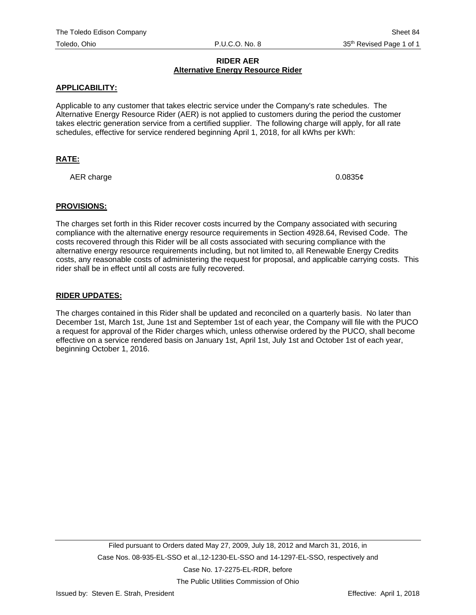# **RIDER AER Alternative Energy Resource Rider**

## **APPLICABILITY:**

Applicable to any customer that takes electric service under the Company's rate schedules. The Alternative Energy Resource Rider (AER) is not applied to customers during the period the customer takes electric generation service from a certified supplier. The following charge will apply, for all rate schedules, effective for service rendered beginning April 1, 2018, for all kWhs per kWh:

# **RATE:**

AER charge  $0.0835¢$ 

#### **PROVISIONS:**

The charges set forth in this Rider recover costs incurred by the Company associated with securing compliance with the alternative energy resource requirements in Section 4928.64, Revised Code. The costs recovered through this Rider will be all costs associated with securing compliance with the alternative energy resource requirements including, but not limited to, all Renewable Energy Credits costs, any reasonable costs of administering the request for proposal, and applicable carrying costs. This rider shall be in effect until all costs are fully recovered.

#### **RIDER UPDATES:**

The charges contained in this Rider shall be updated and reconciled on a quarterly basis. No later than December 1st, March 1st, June 1st and September 1st of each year, the Company will file with the PUCO a request for approval of the Rider charges which, unless otherwise ordered by the PUCO, shall become effective on a service rendered basis on January 1st, April 1st, July 1st and October 1st of each year, beginning October 1, 2016.

The Public Utilities Commission of Ohio